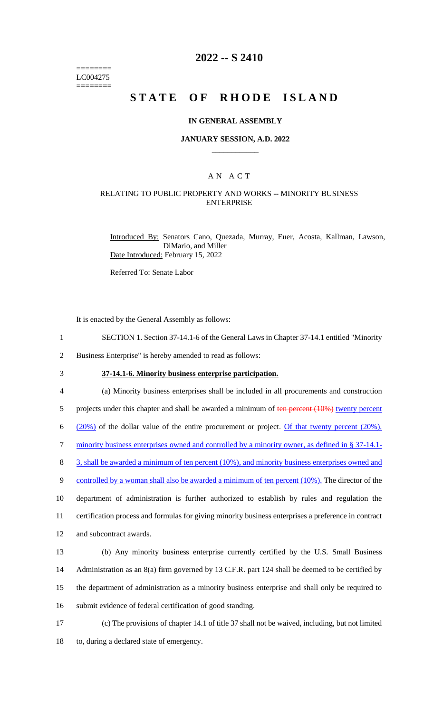======== LC004275 ========

## **2022 -- S 2410**

# **STATE OF RHODE ISLAND**

#### **IN GENERAL ASSEMBLY**

#### **JANUARY SESSION, A.D. 2022 \_\_\_\_\_\_\_\_\_\_\_\_**

## A N A C T

#### RELATING TO PUBLIC PROPERTY AND WORKS -- MINORITY BUSINESS ENTERPRISE

Introduced By: Senators Cano, Quezada, Murray, Euer, Acosta, Kallman, Lawson, DiMario, and Miller Date Introduced: February 15, 2022

Referred To: Senate Labor

It is enacted by the General Assembly as follows:

1 SECTION 1. Section 37-14.1-6 of the General Laws in Chapter 37-14.1 entitled "Minority

2 Business Enterprise" is hereby amended to read as follows:

3 **37-14.1-6. Minority business enterprise participation.**

4 (a) Minority business enterprises shall be included in all procurements and construction 5 projects under this chapter and shall be awarded a minimum of ten percent (10%) twenty percent 6 ( $20\%$ ) of the dollar value of the entire procurement or project. Of that twenty percent (20%), 7 minority business enterprises owned and controlled by a minority owner, as defined in § 37-14.1- 8 3, shall be awarded a minimum of ten percent (10%), and minority business enterprises owned and 9 controlled by a woman shall also be awarded a minimum of ten percent (10%). The director of the 10 department of administration is further authorized to establish by rules and regulation the 11 certification process and formulas for giving minority business enterprises a preference in contract 12 and subcontract awards.

 (b) Any minority business enterprise currently certified by the U.S. Small Business 14 Administration as an 8(a) firm governed by 13 C.F.R. part 124 shall be deemed to be certified by the department of administration as a minority business enterprise and shall only be required to submit evidence of federal certification of good standing.

17 (c) The provisions of chapter 14.1 of title 37 shall not be waived, including, but not limited 18 to, during a declared state of emergency.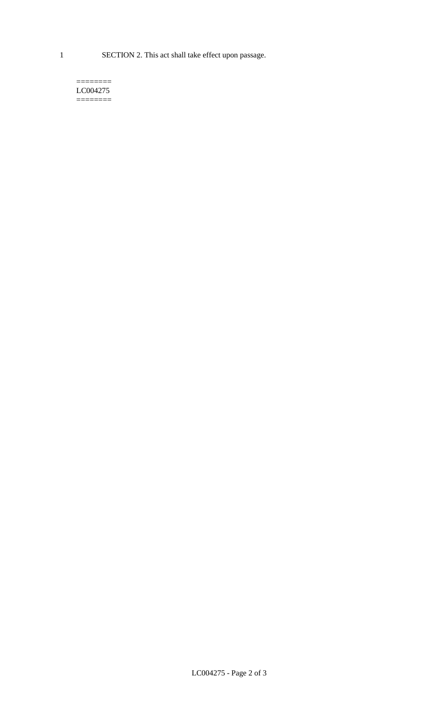1 SECTION 2. This act shall take effect upon passage.